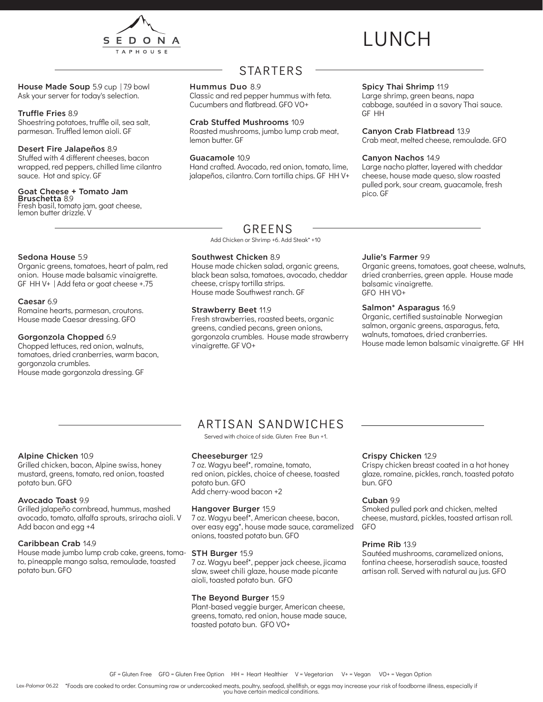

# LUNCH

House Made Soup 5.9 cup | 7.9 bowl Ask your server for today's selection.

#### Truffle Fries 8.9

Shoestring potatoes, truffle oil, sea salt, parmesan. Truffled lemon aioli. GF

#### Desert Fire Jalapeños 8.9

Stuffed with 4 different cheeses, bacon wrapped, red peppers, chilled lime cilantro sauce. Hot and spicy. GF

#### Goat Cheese + Tomato Jam

Bruschetta 8.9 Fresh basil, tomato jam, goat cheese, lemon butter drizzle. V

### STARTERS

#### Hummus Duo 8.9

Classic and red pepper hummus with feta. Cucumbers and flatbread. GFO VO+

#### Crab Stuffed Mushrooms 10.9

Roasted mushrooms, jumbo lump crab meat, lemon butter. GF

#### Guacamole 10.9

Hand crafted. Avocado, red onion, tomato, lime, jalapeños, cilantro. Corn tortilla chips. GF HH V+

#### Spicy Thai Shrimp 11.9

Large shrimp, green beans, napa cabbage, sautéed in a savory Thai sauce. GF HH

#### Canyon Crab Flatbread 13.9

Crab meat, melted cheese, remoulade. GFO

#### Canyon Nachos 14.9

Large nacho platter, layered with cheddar cheese, house made queso, slow roasted pulled pork, sour cream, guacamole, fresh pico. GF

#### Sedona House 5.9

Organic greens, tomatoes, heart of palm, red onion. House made balsamic vinaigrette. GF HH V+ | Add feta or goat cheese +.75

#### Caesar 6.9

Romaine hearts, parmesan, croutons. House made Caesar dressing. GFO

#### Gorgonzola Chopped 6.9

Chopped lettuces, red onion, walnuts, tomatoes, dried cranberries, warm bacon, gorgonzola crumbles. House made gorgonzola dressing. GF

### GREENS

Add Chicken or Shrimp +6. Add Steak\* +10

#### Southwest Chicken 8.9

House made chicken salad, organic greens, black bean salsa, tomatoes, avocado, cheddar cheese, crispy tortilla strips. House made Southwest ranch. GF

#### Strawberry Beet 11.9

Fresh strawberries, roasted beets, organic greens, candied pecans, green onions, gorgonzola crumbles. House made strawberry vinaigrette. GF VO+

#### Julie's Farmer 9.9

Organic greens, tomatoes, goat cheese, walnuts, dried cranberries, green apple. House made balsamic vinaigrette. GFO HH VO+

#### Salmon\* Asparagus 16.9

Organic, certified sustainable Norwegian salmon, organic greens, asparagus, feta, walnuts, tomatoes, dried cranberries. House made lemon balsamic vinaigrette. GF HH

### Alpine Chicken 10.9

Grilled chicken, bacon, Alpine swiss, honey mustard, greens, tomato, red onion, toasted potato bun. GFO

#### Avocado Toast 9.9

Grilled jalapeño cornbread, hummus, mashed avocado, tomato, alfalfa sprouts, sriracha aioli. V Add bacon and egg +4

#### Caribbean Crab 14.9

House made jumbo lump crab cake, greens, tomato, pineapple mango salsa, remoulade, toasted potato bun. GFO

### ARTISAN SANDWICHES

Served with choice of side. Gluten Free Bun +1.

#### Cheeseburger 12.9

7 oz. Wagyu beef\*, romaine, tomato, red onion, pickles, choice of cheese, toasted potato bun. GFO Add cherry-wood bacon +2

#### Hangover Burger 15.9

7 oz. Wagyu beef\*, American cheese, bacon, over easy egg\*, house made sauce, caramelized onions, toasted potato bun. GFO

#### STH Burger 15.9

7 oz. Wagyu beef\*, pepper jack cheese, jicama slaw, sweet chili glaze, house made picante aioli, toasted potato bun. GFO

#### The Beyond Burger 15.9

Plant-based veggie burger, American cheese, greens, tomato, red onion, house made sauce, toasted potato bun. GFO VO+

#### Crispy Chicken 12.9

Crispy chicken breast coated in a hot honey glaze, romaine, pickles, ranch, toasted potato bun. GFO

#### Cuban 9.9

Smoked pulled pork and chicken, melted cheese, mustard, pickles, toasted artisan roll. GFO

#### Prime Rib 13.9

Sautéed mushrooms, caramelized onions, fontina cheese, horseradish sauce, toasted artisan roll. Served with natural au jus. GFO

Lex-Palomar 06.22 \*Foods are cooked to order. Consuming raw or undercooked meats, poultry, seafood, shellfish, or eggs may increase your risk of foodborne illness, especially if you have certain medical conditions.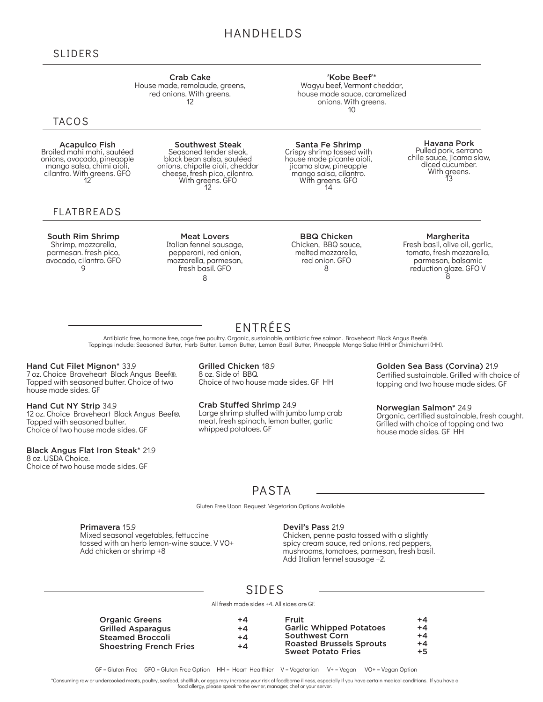### HANDHELDS

#### SLIDERS

Crab Cake House made, remolaude, greens, red onions. With greens. 12

### **TACOS**

Acapulco Fish Broiled mahi mahi, sautéed onions, avocado, pineapple mango salsa, chimi aioli, cilantro. With greens. GFO <sup>12</sup>

### FLATBREADS

South Rim Shrimp Shrimp, mozzarella, parmesan. fresh pico, avocado, cilantro. GFO 9

Southwest Steak Seasoned tender steak, black bean salsa, sautéed onions, chipotle aioli, cheddar cheese, fresh pico, cilantro. With greens. GFO <sup>12</sup>

Meat Lovers Italian fennel sausage, pepperoni, red onion, mozzarella, parmesan, fresh basil. GFO 8

Santa Fe Shrimp Crispy shrimp tossed with house made picante aioli, jicama slaw, pineapple mango salsa, cilantro.<br>
With greens. GFO<br>
14

'Kobe Beef'\* Wagyu beef, Vermont cheddar, house made sauce, caramelized onions. With greens. 10

> **Havana Pork**<br>Pulled pork, serrano chile sauce, jicama slaw, diced cucumber.<br>With greens.<br>13

BBQ Chicken Chicken, BBQ sauce, melted mozzarella, red onion. GFO 8

#### Margherita

Fresh basil, olive oil, garlic, tomato, fresh mozzarella, parmesan, balsamic reduction glaze. GFO V Ŕ

Antibiotic free, hormone free, cage free poultry. Organic, sustainable, antibiotic free salmon. Braveheart Black Angus Beef®. Toppings include: Seasoned Butter, Herb Butter, Lemon Butter, Lemon Basil Butter, Pineapple Mango Salsa (HH) or Chimichurri (HH).

#### Hand Cut Filet Mignon\* 33.9

7 oz. Choice Braveheart Black Angus Beef®. Topped with seasoned butter. Choice of two house made sides. GF

Hand Cut NY Strip 34.9 12 oz. Choice Braveheart Black Angus Beef®. Topped with seasoned butter. Choice of two house made sides. GF

#### Black Angus Flat Iron Steak\* 21.9

8 oz. USDA Choice. Choice of two house made sides. GF Grilled Chicken 18.9 8 oz. Side of BBQ. Choice of two house made sides. GF HH

Crab Stuffed Shrimp 24.9 Large shrimp stuffed with jumbo lump crab meat, fresh spinach, lemon butter, garlic whipped potatoes. GF

Golden Sea Bass (Corvina) 21.9 Certified sustainable. Grilled with choice of topping and two house made sides. GF

Norwegian Salmon\* 24.9 Organic, certified sustainable, fresh caught. Grilled with choice of topping and two house made sides. GF HH

### PASTA

Gluten Free Upon Request. Vegetarian Options Available

Primavera 15.9 Mixed seasonal vegetables, fettuccine tossed with an herb lemon-wine sauce. VVO+ Add chicken or shrimp +8

#### Devil's Pass 21.9

Chicken, penne pasta tossed with a slightly spicy cream sauce, red onions, red peppers, mushrooms, tomatoes, parmesan, fresh basil. Add Italian fennel sausage +2.

### SIDES

All fresh made sides +4. All sides are GF.

| <b>Organic Greens</b>          | $+4$ | Fruit                                                        | $+4$         |
|--------------------------------|------|--------------------------------------------------------------|--------------|
| <b>Grilled Asparagus</b>       | $+4$ | <b>Garlic Whipped Potatoes</b>                               | $+4$         |
| <b>Steamed Broccoli</b>        | $+4$ | <b>Southwest Corn</b>                                        | $+4$         |
| <b>Shoestring French Fries</b> | $+4$ | <b>Roasted Brussels Sprouts</b><br><b>Sweet Potato Fries</b> | $+4$<br>$+5$ |
|                                |      |                                                              |              |

GF = Gluten Free GFO = Gluten Free Option HH = Heart Healthier V = Vegetarian V+ = Vegan VO+ = Vegan Option

\*Consuming raw or undercooked meats, poultry, seafood, shellfish, or eggs may increase your risk of foodborne illness, especially if you have certain medical conditions. If you have a food allergy, please speak to the owner, manager, chef or your server.

### ENTRÉES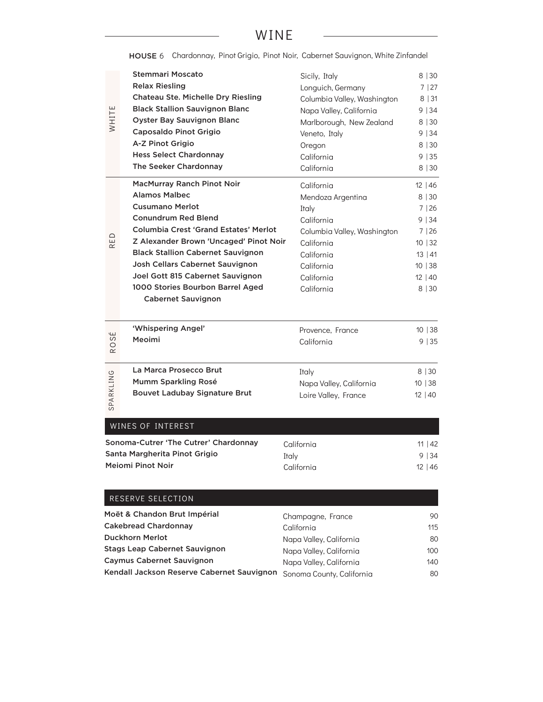### WINE

|                             | <b>Stemmari Moscato</b>                            | Sicily, Italy               | 8 30         |
|-----------------------------|----------------------------------------------------|-----------------------------|--------------|
|                             | <b>Relax Riesling</b>                              | Longuich, Germany           | 7 27         |
|                             | Chateau Ste. Michelle Dry Riesling                 | Columbia Valley, Washington | 8 31         |
|                             | <b>Black Stallion Sauvignon Blanc</b>              | Napa Valley, California     | 9 34         |
| WHITE                       | <b>Oyster Bay Sauvignon Blanc</b>                  | Marlborough, New Zealand    | 8 30         |
|                             | Caposaldo Pinot Grigio                             | Veneto, Italy               | 9 34         |
|                             | A-Z Pinot Grigio                                   | Oregon                      | 8 30         |
|                             | <b>Hess Select Chardonnay</b>                      | California                  | 9 35         |
|                             | The Seeker Chardonnay                              | California                  | 8   30       |
|                             |                                                    |                             |              |
|                             | MacMurray Ranch Pinot Noir<br><b>Alamos Malbec</b> | California                  | $12 \mid 46$ |
|                             |                                                    | Mendoza Argentina           | 8 30         |
|                             | <b>Cusumano Merlot</b>                             | Italy                       | 7 26         |
|                             | <b>Conundrum Red Blend</b>                         | California                  | 9 34         |
| ED                          | <b>Columbia Crest 'Grand Estates' Merlot</b>       | Columbia Valley, Washington | 7 26         |
| $\simeq$                    | Z Alexander Brown 'Uncaged' Pinot Noir             | California                  | 10   32      |
|                             | <b>Black Stallion Cabernet Sauvignon</b>           | California                  | 13   41      |
|                             | Josh Cellars Cabernet Sauvignon                    | California                  | 10 38        |
|                             | Joel Gott 815 Cabernet Sauvignon                   | California                  | 12 40        |
|                             | 1000 Stories Bourbon Barrel Aged                   | California                  | 8 30         |
|                             | <b>Cabernet Sauvignon</b>                          |                             |              |
|                             |                                                    |                             |              |
| É                           | 'Whispering Angel'                                 | Provence, France            | 10   38      |
| S<br>$\circ$                | Meoimi                                             | California                  | 9 35         |
| $\simeq$                    |                                                    |                             |              |
|                             | La Marca Prosecco Brut                             | Italy                       | 8 30         |
|                             | Mumm Sparkling Rosé                                | Napa Valley, California     | 10 38        |
|                             | <b>Bouvet Ladubay Signature Brut</b>               | Loire Valley, France        | 12 40        |
| SPARKLING                   |                                                    |                             |              |
|                             |                                                    |                             |              |
|                             | WINES OF INTEREST                                  |                             |              |
|                             | Sonoma-Cutrer 'The Cutrer' Chardonnay              | California                  | 11   42      |
|                             | Santa Margherita Pinot Grigio                      | Italy                       | 9   34       |
|                             | Meiomi Pinot Noir                                  | California                  | $12 \mid 46$ |
|                             |                                                    |                             |              |
|                             | RESERVE SELECTION                                  |                             |              |
|                             | Moët & Chandon Brut Impérial                       | Champagne, France           | 90           |
| <b>Cakebread Chardonnay</b> |                                                    | California                  | 115          |
| <b>Duckhorn Merlot</b>      |                                                    | Napa Valley, California     | 80           |
|                             | <b>Stags Leap Cabernet Sauvignon</b>               | Napa Valley, California     | 100          |
| Caymus Cabernet Sauvignon   |                                                    | Napa Valley, California     | 140          |
|                             |                                                    |                             |              |

Kendall Jackson Reserve Cabernet Sauvignon Sonoma County, California

80

HOUSE 6 Chardonnay, Pinot Grigio, Pinot Noir, Cabernet Sauvignon, White Zinfandel